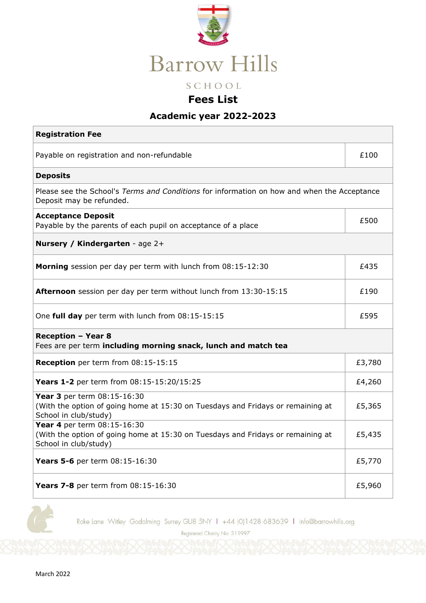

## **Fees List**

## **Academic year 2022-2023**

| <b>Registration Fee</b>                                                                                                                 |        |  |
|-----------------------------------------------------------------------------------------------------------------------------------------|--------|--|
| Payable on registration and non-refundable                                                                                              | £100   |  |
| <b>Deposits</b>                                                                                                                         |        |  |
| Please see the School's Terms and Conditions for information on how and when the Acceptance<br>Deposit may be refunded.                 |        |  |
| <b>Acceptance Deposit</b><br>Payable by the parents of each pupil on acceptance of a place                                              | £500   |  |
| Nursery / Kindergarten - age 2+                                                                                                         |        |  |
| Morning session per day per term with lunch from 08:15-12:30                                                                            | £435   |  |
| <b>Afternoon</b> session per day per term without lunch from 13:30-15:15                                                                | £190   |  |
| One full day per term with lunch from 08:15-15:15                                                                                       | £595   |  |
| <b>Reception - Year 8</b><br>Fees are per term including morning snack, lunch and match tea                                             |        |  |
| Reception per term from 08:15-15:15                                                                                                     | £3,780 |  |
| Years 1-2 per term from 08:15-15:20/15:25                                                                                               | £4,260 |  |
| Year 3 per term 08:15-16:30<br>(With the option of going home at 15:30 on Tuesdays and Fridays or remaining at<br>School in club/study) | £5,365 |  |
| Year 4 per term 08:15-16:30<br>(With the option of going home at 15:30 on Tuesdays and Fridays or remaining at<br>School in club/study) | £5,435 |  |
| Years 5-6 per term 08:15-16:30                                                                                                          | £5,770 |  |
| Years 7-8 per term from 08:15-16:30                                                                                                     | £5,960 |  |

Roke Lane Witley Godalming Surrey GU8 5NY 1 +44 (0)1428 683639 1 info@barrowhills.org

Registered Charity No: 311997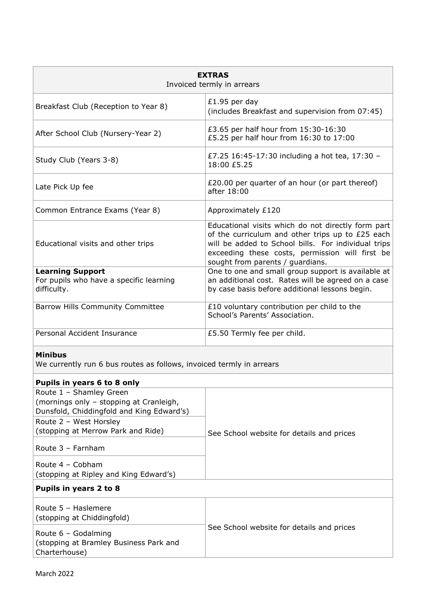| <b>EXTRAS</b><br>Invoiced termly in arrears                                                                                                                                     |                                                                                                                                                                                                                                                      |  |
|---------------------------------------------------------------------------------------------------------------------------------------------------------------------------------|------------------------------------------------------------------------------------------------------------------------------------------------------------------------------------------------------------------------------------------------------|--|
| Breakfast Club (Reception to Year 8)                                                                                                                                            | £1.95 per day<br>(includes Breakfast and supervision from 07:45)                                                                                                                                                                                     |  |
| After School Club (Nursery-Year 2)                                                                                                                                              | £3.65 per half hour from 15:30-16:30<br>£5.25 per half hour from 16:30 to 17:00                                                                                                                                                                      |  |
| Study Club (Years 3-8)                                                                                                                                                          | £7.25 16:45-17:30 including a hot tea, 17:30 -<br>18:00 £5.25                                                                                                                                                                                        |  |
| Late Pick Up fee                                                                                                                                                                | £20.00 per quarter of an hour (or part thereof)<br>after 18:00                                                                                                                                                                                       |  |
| Common Entrance Exams (Year 8)                                                                                                                                                  | Approximately £120                                                                                                                                                                                                                                   |  |
| Educational visits and other trips                                                                                                                                              | Educational visits which do not directly form part<br>of the curriculum and other trips up to £25 each<br>will be added to School bills. For individual trips<br>exceeding these costs, permission will first be<br>sought from parents / guardians. |  |
| <b>Learning Support</b><br>For pupils who have a specific learning<br>difficulty.                                                                                               | One to one and small group support is available at<br>an additional cost. Rates will be agreed on a case<br>by case basis before additional lessons begin.                                                                                           |  |
| <b>Barrow Hills Community Committee</b>                                                                                                                                         | £10 voluntary contribution per child to the<br>School's Parents' Association.                                                                                                                                                                        |  |
| Personal Accident Insurance                                                                                                                                                     | £5.50 Termly fee per child.                                                                                                                                                                                                                          |  |
| <b>Minibus</b><br>We currently run 6 bus routes as follows, invoiced termly in arrears                                                                                          |                                                                                                                                                                                                                                                      |  |
| Pupils in years 6 to 8 only                                                                                                                                                     |                                                                                                                                                                                                                                                      |  |
| Route 1 - Shamley Green<br>(mornings only - stopping at Cranleigh,<br>Dunsfold, Chiddingfold and King Edward's)<br>Route 2 - West Horsley<br>(stopping at Merrow Park and Ride) | See School website for details and prices                                                                                                                                                                                                            |  |
| Route 3 - Farnham                                                                                                                                                               |                                                                                                                                                                                                                                                      |  |
| Route $4 - \text{Cobham}$<br>(stopping at Ripley and King Edward's)                                                                                                             |                                                                                                                                                                                                                                                      |  |
| Pupils in years 2 to 8                                                                                                                                                          |                                                                                                                                                                                                                                                      |  |
| Route 5 - Haslemere<br>(stopping at Chiddingfold)                                                                                                                               | See School website for details and prices                                                                                                                                                                                                            |  |
| Route 6 - Godalming<br>(stopping at Bramley Business Park and<br>Charterhouse)                                                                                                  |                                                                                                                                                                                                                                                      |  |